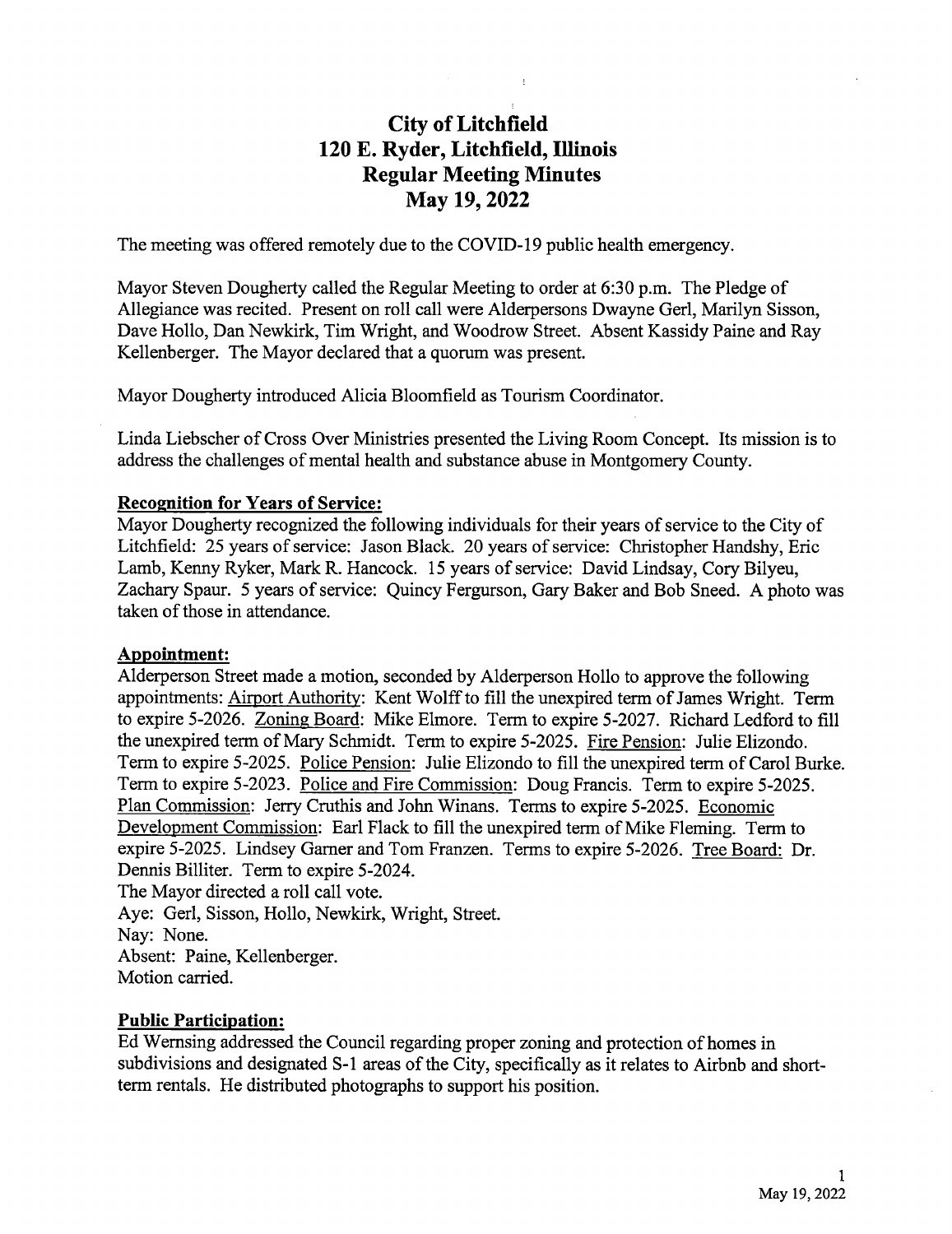# City of Litchfield 120 E. Ryder, Litchfield, Illinois Regular Meeting Minutes May 19, 2022

The meeting was offered remotely due to the COVID- 19 public health emergency.

Mayor Steven Dougherty called the Regular Meeting to order at 6:30 p.m. The Pledge of Allegiance was recited. Present on roll call were Alderpersons Dwayne Gerl, Marilyn Sisson, Dave Hollo, Dan Newkirk, Tim Wright, and Woodrow Street. Absent Kassidy Paine and Ray Kellenberger. The Mayor declared that a quorum was present.

Mayor Dougherty introduced Alicia Bloomfield as Tourism Coordinator.

Linda Liebscher of Cross Over Ministries presented the Living Room Concept. Its mission is to address the challenges of mental health and substance abuse in Montgomery County.

#### Recognition for Years of Service:

Mayor Dougherty recognized the following individuals for their years of service to the City of Litchfield: 25 years of service: Jason Black. 20 years of service: Christopher Handshy, Eric Lamb, Kenny Ryker, Mark R. Hancock. <sup>15</sup> years of service: David Lindsay, Cory Bilyeu, Zachary Spaur. 5 years of service: Quincy Fergurson, Gary Baker and Bob Sneed. A photo was taken of those in attendance.

#### Appointment:

Alderperson Street made a motion, seconded by Alderperson Hollo to approve the following appointments: Airport Authority: Kent Wolff to fill the unexpired term of James Wright. Term to expire 5-2026. Zoning Board: Mike Elmore. Term to expire 5-2027. Richard Ledford to fill the unexpired term of Mary Schmidt. Term to expire 5-2025. Fire Pension: Julie Elizondo. Term to expire 5-2025. Police Pension: Julie Elizondo to fill the unexpired term of Carol Burke. Term to expire 5-2023. Police and Fire Commission: Doug Francis. Term to expire 5-2025. Plan Commission: Jerry Cruthis and John Winans. Terms to expire 5-2025. Economic Development Commission: Earl Flack to fill the unexpired term of Mike Fleming. Term to expire 5-2025. Lindsey Garner and Tom Franzen. Terms to expire 5-2026. Tree Board: Dr. Dennis Billiter. Term to expire 5-2024. The Mayor directed a roll call vote.

Aye: Gerl, Sisson, Hollo, Newkirk, Wright, Street. Nay: None. Absent: Paine, Kellenberger. Motion carried.

### Public Participation:

Ed Wernsing addressed the Council regarding proper zoning and protection of homes in subdivisions and designated S-1 areas of the City, specifically as it relates to Airbnb and shortterm rentals. He distributed photographs to support his position.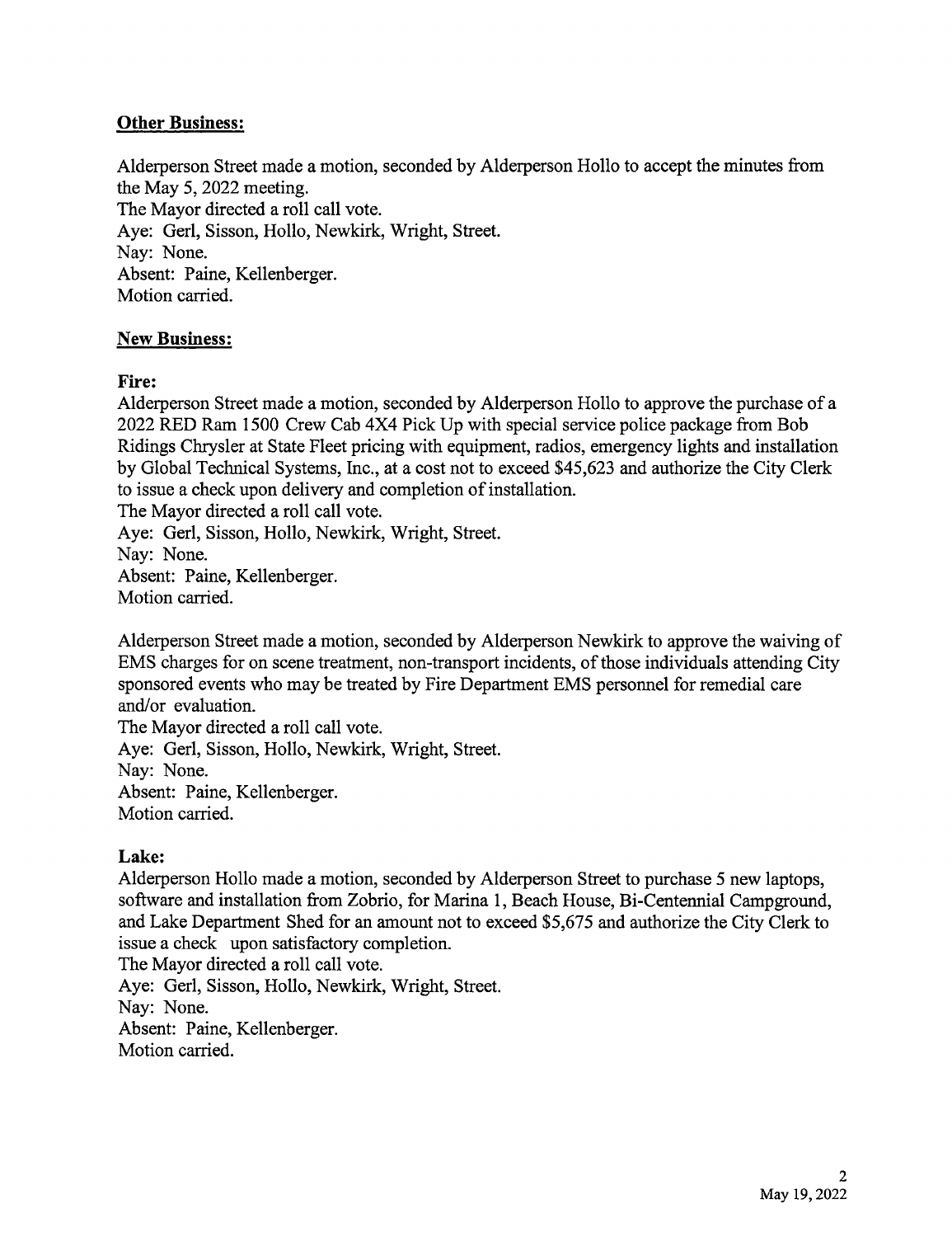# **Other Business:**

Alderperson Street made a motion, seconded by Alderperson Hollo to accept the minutes from the May 5, 2022 meeting. The Mayor directed a roll call vote. Aye: Gerl, Sisson, Hollo, Newkirk, Wright, Street. Nay: None. Absent: Paine, Kellenberger. Motion carried.

## New Business:

### Fire:

Alderperson Street made <sup>a</sup> motion, seconded by Alderperson Hollo to approve the purchase of <sup>a</sup> 2022 RED Ram 1500 Crew Cab 4X4 Pick Up with special service police package from Bob Ridings Chrysler at State Fleet pricing with equipment, radios, emergency lights and installation by Global Technical Systems, Inc., at a cost not to exceed \$45,623 and authorize the City Clerk to issue a check upon delivery and completion of installation.

The Mayor directed a roll call vote.

Aye: Gerl, Sisson, Hollo, Newkirk, Wright, Street.

Nay: None.

Absent: Paine, Kellenberger. Motion carried.

Alderperson Street made a motion, seconded by Alderperson Newkirk to approve the waiving of EMS charges for on scene treatment, non-transport incidents, of those individuals attending City sponsored events who may be treated by Fire Department EMS personnel for remedial care and/or evaluation.

The Mayor directed a roll call vote. Aye: Gerl, Sisson, Hollo, Newkirk, Wright, Street. Nay: None. Absent: Paine, Kellenberger. Motion carried.

## Lake:

Alderperson Hollo made a motion, seconded by Alderperson Street to purchase 5 new laptops, software and installation from Zobrio, for Marina 1, Beach House, Bi-Centennial Campground, and Lake Department Shed for an amount not to exceed \$5,675 and authorize the City Clerk to issue a check upon satisfactory completion.

The Mayor directed a roll call vote.

Aye: Gerl, Sisson, Hollo, Newkirk, Wright, Street. Nay: None.

Absent: Paine, Kellenberger.

Motion carried.